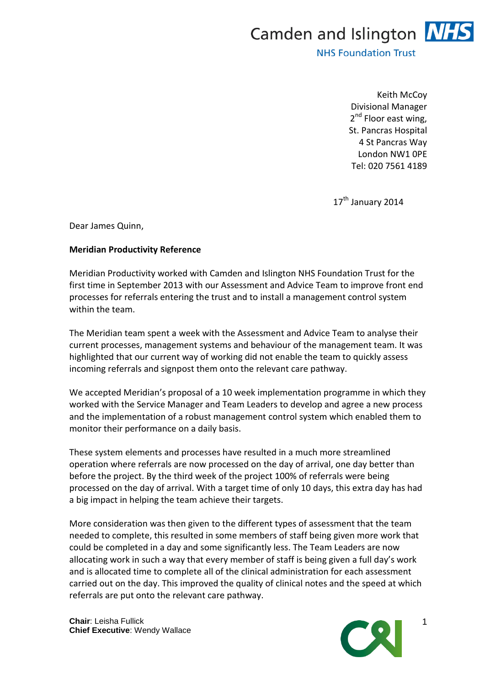

Keith McCoy Divisional Manager 2<sup>nd</sup> Floor east wing, St. Pancras Hospital 4 St Pancras Way London NW1 0PE Tel: 020 7561 4189

17<sup>th</sup> January 2014

Dear James Quinn,

## **Meridian Productivity Reference**

Meridian Productivity worked with Camden and Islington NHS Foundation Trust for the first time in September 2013 with our Assessment and Advice Team to improve front end processes for referrals entering the trust and to install a management control system within the team.

The Meridian team spent a week with the Assessment and Advice Team to analyse their current processes, management systems and behaviour of the management team. It was highlighted that our current way of working did not enable the team to quickly assess incoming referrals and signpost them onto the relevant care pathway.

We accepted Meridian's proposal of a 10 week implementation programme in which they worked with the Service Manager and Team Leaders to develop and agree a new process and the implementation of a robust management control system which enabled them to monitor their performance on a daily basis.

These system elements and processes have resulted in a much more streamlined operation where referrals are now processed on the day of arrival, one day better than before the project. By the third week of the project 100% of referrals were being processed on the day of arrival. With a target time of only 10 days, this extra day has had a big impact in helping the team achieve their targets.

More consideration was then given to the different types of assessment that the team needed to complete, this resulted in some members of staff being given more work that could be completed in a day and some significantly less. The Team Leaders are now allocating work in such a way that every member of staff is being given a full day's work and is allocated time to complete all of the clinical administration for each assessment carried out on the day. This improved the quality of clinical notes and the speed at which referrals are put onto the relevant care pathway.

**Chair**: Leisha Fullick **Chief Executive**: Wendy Wallace



1